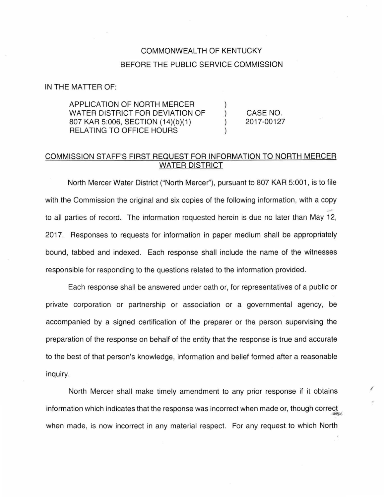## COMMONWEALTH OF KENTUCKY BEFORE THE PUBLIC SERVICE COMMISSION

## IN THE MATTER OF:

APPLICATION OF NORTH MERCER WATER DISTRICT FOR DEVIATION OF 807 KAR 5:006, SECTION (14)(b)(1) RELATING TO OFFICE HOURS

CASE NO. 2017-00127

I

## COMMISSION STAFF'S FIRST REQUEST FOR INFORMATION TO NORTH MERCER WATER DISTRICT

North Mercer Water District ("North Mercer''), pursuant to 807 KAR 5:001 , is to file with the Commission the original and six copies of the following information, with a copy to all parties of record. The information requested herein is due no later than May 12, 2017. Responses to requests for information in paper medium shall be appropriately bound, tabbed and indexed. Each response shall include the name of the witnesses responsible for responding to the questions related to the information provided.

Each response shall be answered under oath or, for representatives of a public or private corporation or partnership or association or a governmental agency, be accompanied by a signed certification of the preparer or the person supervising the preparation of the response on behalf of the entity that the response is true and accurate to the best of that person's knowledge, information and belief formed after a reasonable inquiry.

North Mercer shall make timely amendment to any prior response if it obtains information which indicates that the response was incorrect when made or, though correct when made, is now incorrect in any material respect. For any request to which North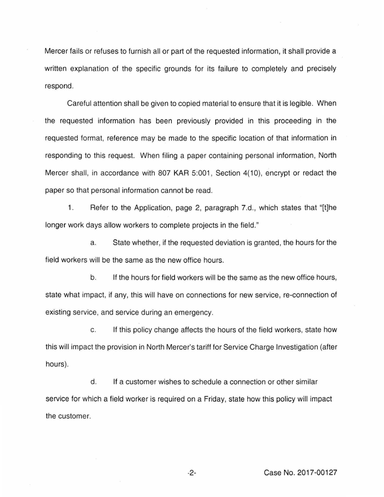Mercer fails or refuses to furnish all or part of the requested information, it shall provide a written explanation of the specific grounds for its failure to completely and precisely respond.

Careful attention shall be given to copied material to ensure that it is legible. When the requested information has been previously provided in this proceeding in the requested format, reference may be made to the specific location of that information in responding to this request. When filing a paper containing personal information, North Mercer shall, in accordance with 807 KAR 5:001, Section 4(10), encrypt or redact the paper so that personal information cannot be read.

1. Refer to the Application, page 2, paragraph 7.d., which states that "[t]he longer work days allow workers to complete projects in the field."

a. State whether, if the requested deviation is granted, the hours for the field workers will be the same as the new office hours.

b. If the hours for field workers will be the same as the new office hours, state what impact, if any, this will have on connections for new service, re-connection of existing service, and service during an emergency.

c. If this policy change affects the hours of the field workers, state how this will impact the provision in North Mercer's tariff for Service Charge Investigation (after hours).

d. If a customer wishes to schedule a connection or other similar service for which a field worker is required on a Friday, state how this policy will impact the customer.

-2- Case No. 2017-00127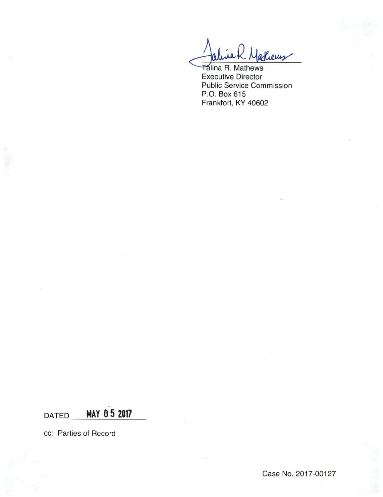athems

**Talina R. Mathews Executive Director Public Service Commission** P.O. Box 615 Frankfort, KY 40602

MAY 05 2017 DATED\_

cc: Parties of Record